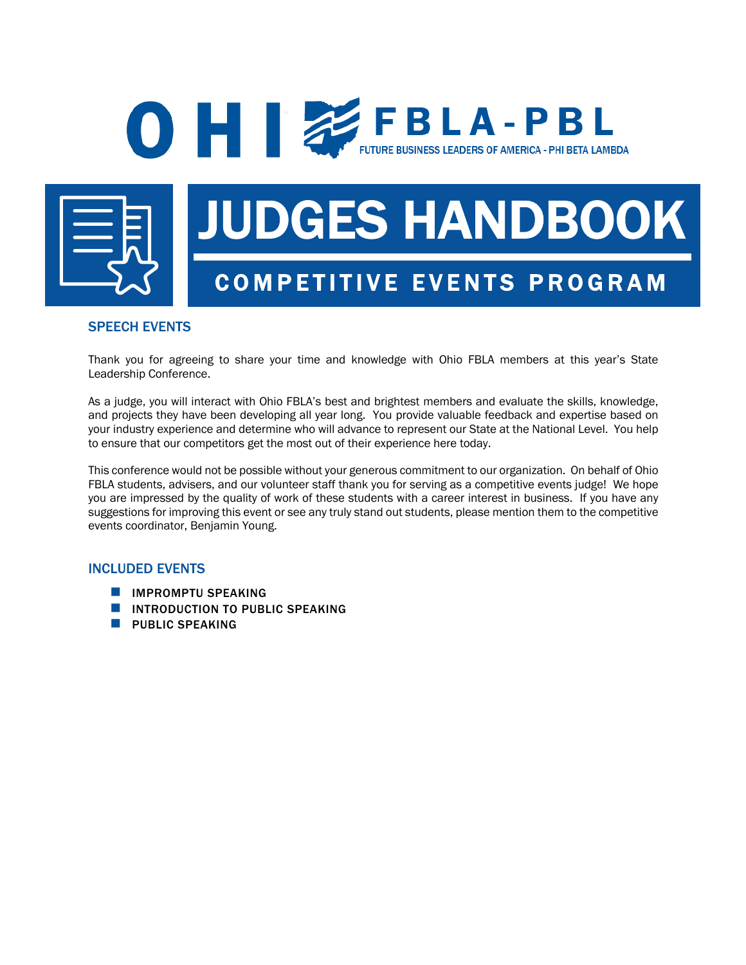## **O FBLA-PBL** FUTURE BUSINESS LEADERS OF AMERICA - PHI BETA LAMBDA



# JUDGES HANDBOOK COMPETITIVE EVENTS PROGRAM

### SPEECH EVENTS

Thank you for agreeing to share your time and knowledge with Ohio FBLA members at this year's State Leadership Conference.

As a judge, you will interact with Ohio FBLA's best and brightest members and evaluate the skills, knowledge, and projects they have been developing all year long. You provide valuable feedback and expertise based on your industry experience and determine who will advance to represent our State at the National Level. You help to ensure that our competitors get the most out of their experience here today.

This conference would not be possible without your generous commitment to our organization. On behalf of Ohio FBLA students, advisers, and our volunteer staff thank you for serving as a competitive events judge! We hope you are impressed by the quality of work of these students with a career interest in business. If you have any suggestions for improving this event or see any truly stand out students, please mention them to the competitive events coordinator, Benjamin Young.

#### INCLUDED EVENTS

- **N** IMPROMPTU SPEAKING
- **NUMBER 10 INTRODUCTION TO PUBLIC SPEAKING**
- **N** PUBLIC SPEAKING